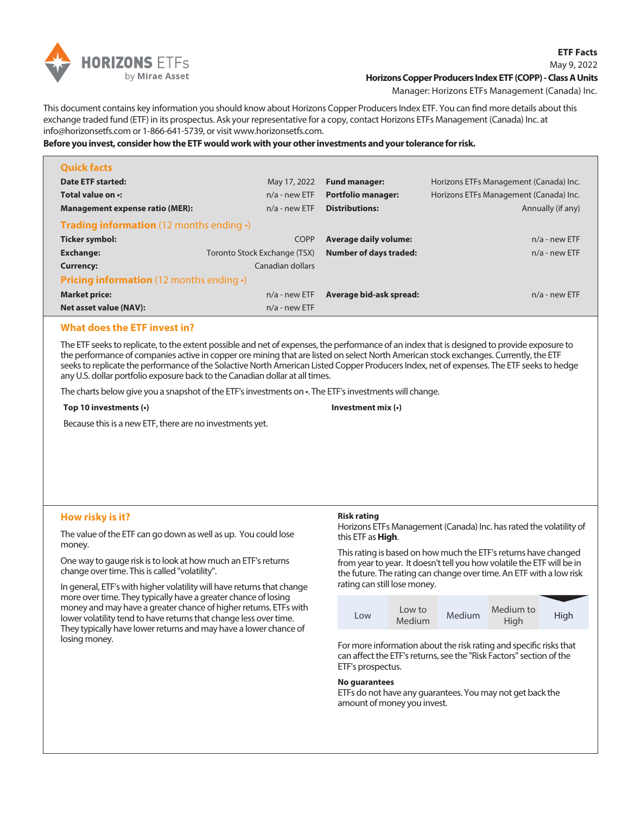

## **Horizons Copper Producers Index ETF (COPP) - Class A Units**

Manager: Horizons ETFs Management (Canada) Inc.

This document contains key information you should know about Horizons Copper Producers Index ETF. You can find more details about this exchange traded fund (ETF) in its prospectus. Ask your representative for a copy, contact Horizons ETFs Management (Canada) Inc. at info@horizonsetfs.com or 1-866-641-5739, or visit www.horizonsetfs.com.

**Before you invest, consider how the ETF would work with your other investments and your tolerance for risk.**

| <b>Quick facts</b>                                     |                              |                               |                                        |  |
|--------------------------------------------------------|------------------------------|-------------------------------|----------------------------------------|--|
| Date ETF started:                                      | May 17, 2022                 | <b>Fund manager:</b>          | Horizons ETFs Management (Canada) Inc. |  |
| Total value on .:                                      | $n/a$ - new ETF              | <b>Portfolio manager:</b>     | Horizons ETFs Management (Canada) Inc. |  |
| <b>Management expense ratio (MER):</b>                 | $n/a$ - new ETF              | <b>Distributions:</b>         | Annually (if any)                      |  |
| <b>Trading information</b> (12 months ending $\cdot$ ) |                              |                               |                                        |  |
| Ticker symbol:                                         | <b>COPP</b>                  | <b>Average daily volume:</b>  | $n/a$ - new ETF                        |  |
| <b>Exchange:</b>                                       | Toronto Stock Exchange (TSX) | <b>Number of days traded:</b> | $n/a$ - new ETF                        |  |
| <b>Currency:</b>                                       | Canadian dollars             |                               |                                        |  |
| <b>Pricing information</b> (12 months ending $\cdot$ ) |                              |                               |                                        |  |
| <b>Market price:</b>                                   | $n/a$ - new ETF              | Average bid-ask spread:       | $n/a$ - new ETF                        |  |
| Net asset value {NAV}:                                 | $n/a$ - new ETF              |                               |                                        |  |

# **What does the ETF invest in?**

The ETF seeks to replicate, to the extent possible and net of expenses, the performance of an index that is designed to provide exposure to the performance of companies active in copper ore mining that are listed on select North American stock exchanges. Currently, the ETF seeks to replicate the performance of the Solactive North American Listed Copper Producers Index, net of expenses. The ETF seeks to hedge any U.S. dollar portfolio exposure back to the Canadian dollar at all times.

The charts below give you a snapshot of the ETF's investments on •. The ETF's investments will change.

**Top 10 investments (•)**

#### **Investment mix (•)**

Because this is a new ETF, there are no investments yet.

# **How risky is it?**

The value of the ETF can go down as well as up. You could lose money.

One way to gauge risk is to look at how much an ETF's returns change over time. This is called "volatility".

In general, ETF's with higher volatility will have returns that change more over time. They typically have a greater chance of losing money and may have a greater chance of higher returns. ETFs with lower volatility tend to have returns that change less over time. They typically have lower returns and may have a lower chance of losing money.

#### **Risk rating**

Horizons ETFs Management (Canada) Inc. has rated the volatility of this ETF as **High**.

This rating is based on how much the ETF's returns have changed from year to year. It doesn't tell you how volatile the ETF will be in the future. The rating can change over time. An ETF with a low risk rating can still lose money.



For more information about the risk rating and specific risks that can affect the ETF's returns, see the "Risk Factors" section of the ETF's prospectus.

### **No guarantees**

ETFs do not have any guarantees. You may not get back the amount of money you invest.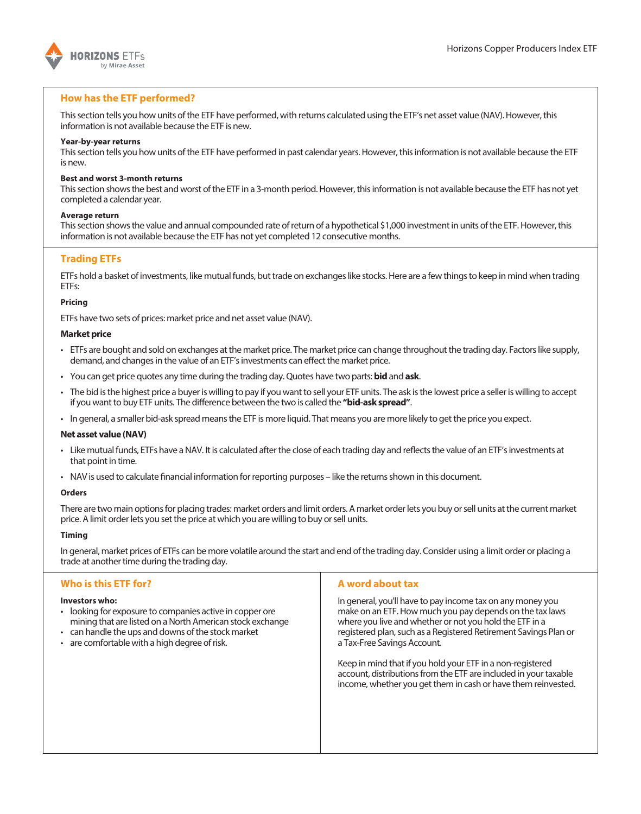

# **How has the ETF performed?**

This section tells you how units of the ETF have performed, with returns calculated using the ETF's net asset value (NAV). However, this information is not available because the ETF is new.

## **Year-by-year returns**

This section tells you how units of the ETF have performed in past calendar years. However, this information is not available because the ETF is new.

## **Best and worst 3-month returns**

This section shows the best and worst of the ETF in a 3-month period. However, this information is not available because the ETF has not yet completed a calendar year.

### **Average return**

This section shows the value and annual compounded rate of return of a hypothetical \$1,000 investment in units of the ETF. However, this information is not available because the ETF has not yet completed 12 consecutive months.

# **Trading ETFs**

ETFs hold a basket of investments, like mutual funds, but trade on exchanges like stocks. Here are a few things to keep in mind when trading ETFs:

# **Pricing**

ETFs have two sets of prices: market price and net asset value (NAV).

# **Market price**

- ETFs are bought and sold on exchanges at the market price. The market price can change throughout the trading day. Factors like supply, demand, and changes in the value of an ETF's investments can effect the market price.
- You can get price quotes any time during the trading day. Quotes have two parts: **bid** and **ask**.
- The bid is the highest price a buyer is willing to pay if you want to sell your ETF units. The ask is the lowest price a seller is willing to accept if you want to buy ETF units. The difference between the two is called the **"bid-ask spread"**.
- In general, a smaller bid-ask spread means the ETF is more liquid. That means you are more likely to get the price you expect.

### **Net asset value (NAV)**

- Like mutual funds, ETFs have a NAV. It is calculated after the close of each trading day and reflects the value of an ETF's investments at that point in time.
- NAV is used to calculate financial information for reporting purposes like the returns shown in this document.

### **Orders**

There are two main options for placing trades: market orders and limit orders. A market order lets you buy or sell units at the current market price. A limit order lets you set the price at which you are willing to buy or sell units.

### **Timing**

In general, market prices of ETFs can be more volatile around the start and end of the trading day. Consider using a limit order or placing a trade at another time during the trading day.

# **Who is this ETF for?**

### **Investors who:**

- looking for exposure to companies active in copper ore mining that are listed on a North American stock exchange
- can handle the ups and downs of the stock market
- are comfortable with a high degree of risk.

# **A word about tax**

In general, you'll have to pay income tax on any money you make on an ETF. How much you pay depends on the tax laws where you live and whether or not you hold the ETF in a registered plan, such as a Registered Retirement Savings Plan or a Tax-Free Savings Account.

Keep in mind that if you hold your ETF in a non-registered account, distributions from the ETF are included in your taxable income, whether you get them in cash or have them reinvested.